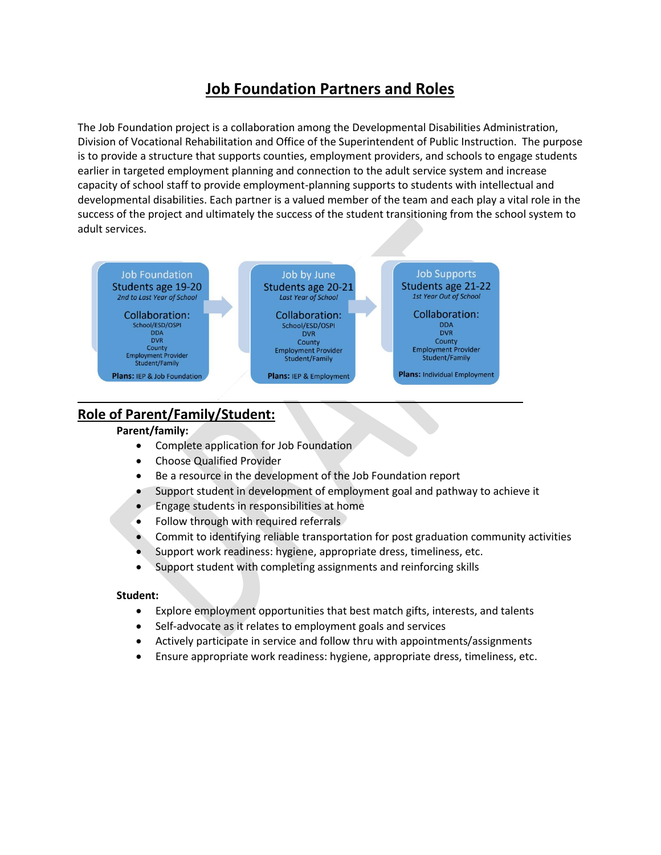# **Job Foundation Partners and Roles**

The Job Foundation project is a collaboration among the Developmental Disabilities Administration, Division of Vocational Rehabilitation and Office of the Superintendent of Public Instruction. The purpose is to provide a structure that supports counties, employment providers, and schools to engage students earlier in targeted employment planning and connection to the adult service system and increase capacity of school staff to provide employment-planning supports to students with intellectual and developmental disabilities. Each partner is a valued member of the team and each play a vital role in the success of the project and ultimately the success of the student transitioning from the school system to adult services.



## **Role of Parent/Family/Student:**

### **Parent/family:**

- Complete application for Job Foundation
- Choose Qualified Provider
- Be a resource in the development of the Job Foundation report
- Support student in development of employment goal and pathway to achieve it
- Engage students in responsibilities at home
- Follow through with required referrals
- Commit to identifying reliable transportation for post graduation community activities
- Support work readiness: hygiene, appropriate dress, timeliness, etc.
- Support student with completing assignments and reinforcing skills

#### **Student:**

- Explore employment opportunities that best match gifts, interests, and talents
- Self-advocate as it relates to employment goals and services
- Actively participate in service and follow thru with appointments/assignments
- Ensure appropriate work readiness: hygiene, appropriate dress, timeliness, etc.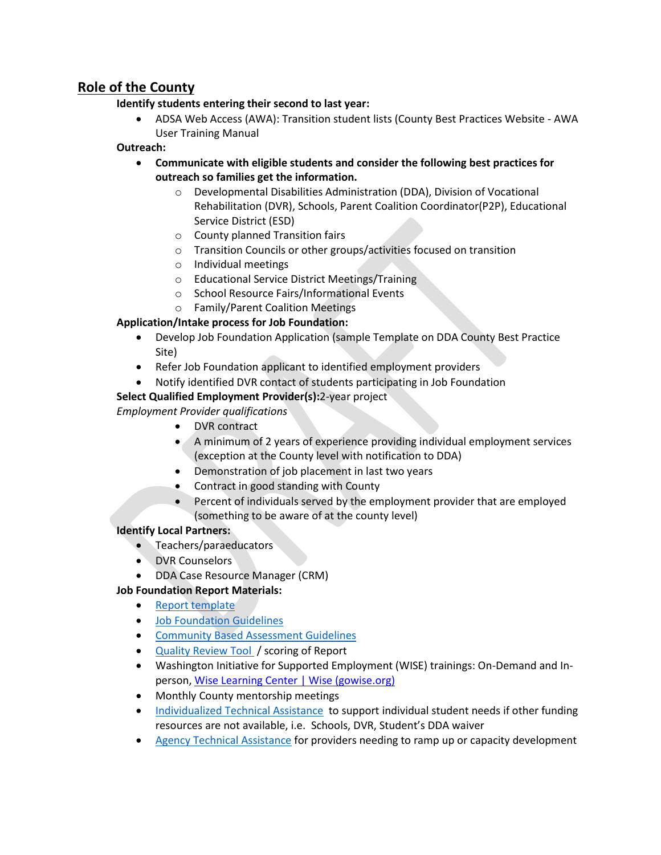## **Role of the County**

### **Identify students entering their second to last year:**

• ADSA Web Access (AWA): Transition student lists (County Best Practices Website - AWA User Training Manual

### **Outreach:**

- **Communicate with eligible students and consider the following best practices for outreach so families get the information.**
	- o Developmental Disabilities Administration (DDA), Division of Vocational Rehabilitation (DVR), Schools, Parent Coalition Coordinator(P2P), Educational Service District (ESD)
	- o County planned Transition fairs
	- o Transition Councils or other groups/activities focused on transition
	- o Individual meetings
	- o Educational Service District Meetings/Training
	- o School Resource Fairs/Informational Events
	- o Family/Parent Coalition Meetings

## **Application/Intake process for Job Foundation:**

- Develop Job Foundation Application (sample Template on DDA County Best Practice Site)
- Refer Job Foundation applicant to identified employment providers
- Notify identified DVR contact of students participating in Job Foundation

## **Select Qualified Employment Provider(s):**2-year project

*Employment Provider qualifications*

- DVR contract
- A minimum of 2 years of experience providing individual employment services (exception at the County level with notification to DDA)
- Demonstration of job placement in last two years
- Contract in good standing with County
- Percent of individuals served by the employment provider that are employed (something to be aware of at the county level)

### **Identify Local Partners:**

- Teachers/paraeducators
- DVR Counselors
- DDA Case Resource Manager (CRM)

## **Job Foundation Report Materials:**

- [Report template](https://www.dshs.wa.gov/sites/default/files/DDA/dda/documents/USE%20THIS%20for%20JB14-550.docx)
- [Job Foundation Guidelines](https://www.dshs.wa.gov/sites/default/files/DDA/dda/documents/DDA%20Job%20Foundation%20Guidelines.pdf)
- [Community Based Assessment Guidelines](https://www.dshs.wa.gov/sites/default/files/DDA/dda/documents/DDA%20Community%20Based%20Assessments%20within%20Employment%20Services.pdf)
- [Quality Review Tool](https://www.dshs.wa.gov/sites/default/files/DDA/dda/documents/DDA%20Job%20Foundations%20Quality%20Review%20Tool.docx) / scoring of Report
- Washington Initiative for Supported Employment (WISE) trainings: On-Demand and Inperson, [Wise Learning Center | Wise \(gowise.org\)](https://www.gowise.org/wiselearningcenter/)
- Monthly County mentorship meetings
- [Individualized Technical Assistance](https://www.dshs.wa.gov/sites/default/files/DDA/dda/documents/DDA%20Technical%20Assistance%20Request%20Form%202020.doc) to support individual student needs if other funding resources are not available, i.e. Schools, DVR, Student's DDA waiver
- [Agency Technical Assistance](https://www.dshs.wa.gov/sites/default/files/DDA/dda/documents/DDA%20Technical%20Assistance%20Request%20Form%202017.doc) for providers needing to ramp up or capacity development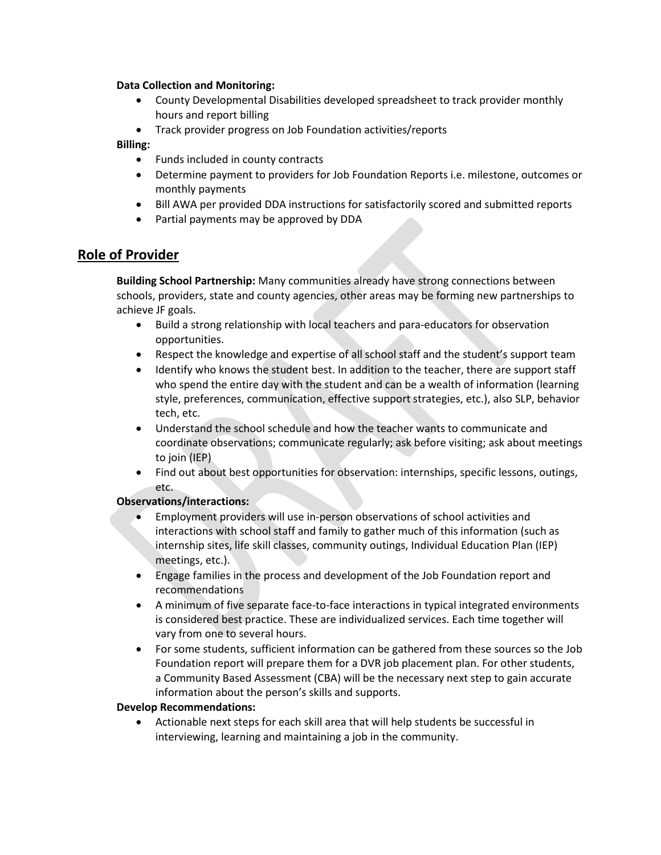#### **Data Collection and Monitoring:**

- County Developmental Disabilities developed spreadsheet to track provider monthly hours and report billing
- Track provider progress on Job Foundation activities/reports

#### **Billing:**

- Funds included in county contracts
- Determine payment to providers for Job Foundation Reports i.e. milestone, outcomes or monthly payments
- Bill AWA per provided DDA instructions for satisfactorily scored and submitted reports
- Partial payments may be approved by DDA

## **Role of Provider**

**Building School Partnership:** Many communities already have strong connections between schools, providers, state and county agencies, other areas may be forming new partnerships to achieve JF goals.

- Build a strong relationship with local teachers and para-educators for observation opportunities.
- Respect the knowledge and expertise of all school staff and the student's support team
- Identify who knows the student best. In addition to the teacher, there are support staff who spend the entire day with the student and can be a wealth of information (learning style, preferences, communication, effective support strategies, etc.), also SLP, behavior tech, etc.
- Understand the school schedule and how the teacher wants to communicate and coordinate observations; communicate regularly; ask before visiting; ask about meetings to join (IEP)
- Find out about best opportunities for observation: internships, specific lessons, outings, etc.

#### **Observations/interactions:**

- Employment providers will use in-person observations of school activities and interactions with school staff and family to gather much of this information (such as internship sites, life skill classes, community outings, Individual Education Plan (IEP) meetings, etc.).
- Engage families in the process and development of the Job Foundation report and recommendations
- A minimum of five separate face-to-face interactions in typical integrated environments is considered best practice. These are individualized services. Each time together will vary from one to several hours.
- For some students, sufficient information can be gathered from these sources so the Job Foundation report will prepare them for a DVR job placement plan. For other students, a Community Based Assessment (CBA) will be the necessary next step to gain accurate information about the person's skills and supports.

#### **Develop Recommendations:**

• Actionable next steps for each skill area that will help students be successful in interviewing, learning and maintaining a job in the community.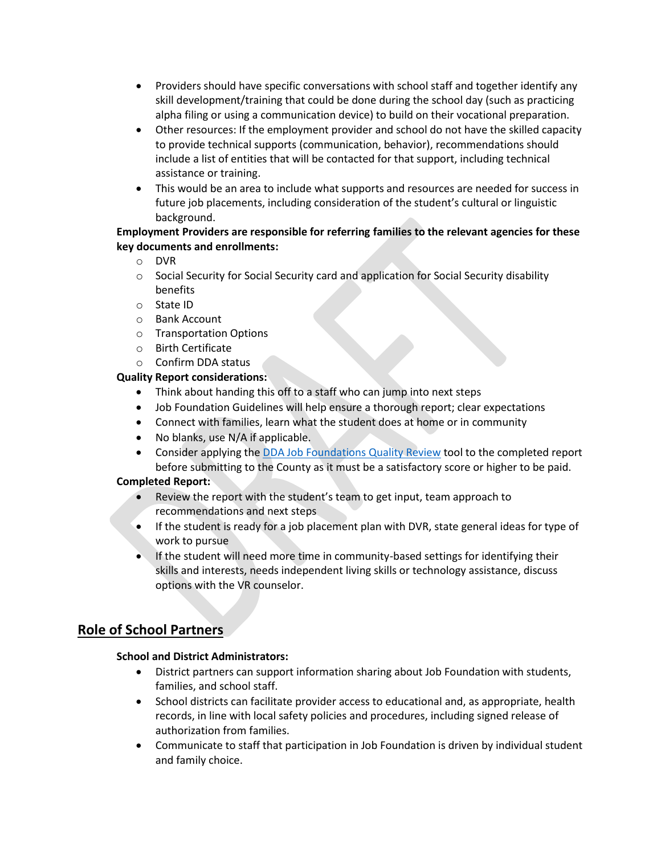- Providers should have specific conversations with school staff and together identify any skill development/training that could be done during the school day (such as practicing alpha filing or using a communication device) to build on their vocational preparation.
- Other resources: If the employment provider and school do not have the skilled capacity to provide technical supports (communication, behavior), recommendations should include a list of entities that will be contacted for that support, including technical assistance or training.
- This would be an area to include what supports and resources are needed for success in future job placements, including consideration of the student's cultural or linguistic background.

### **Employment Providers are responsible for referring families to the relevant agencies for these key documents and enrollments:**

- o DVR
- $\circ$  Social Security for Social Security card and application for Social Security disability benefits
- o State ID
- o Bank Account
- o Transportation Options
- o Birth Certificate
- o Confirm DDA status

#### **Quality Report considerations:**

- Think about handing this off to a staff who can jump into next steps
- Job Foundation Guidelines will help ensure a thorough report; clear expectations
- Connect with families, learn what the student does at home or in community
- No blanks, use N/A if applicable.
- Consider applying th[e DDA Job Foundations Quality Review](https://www.dshs.wa.gov/sites/default/files/DDA/dda/documents/DDA%20Job%20Foundations%20Quality%20Review%20Tool.docx) tool to the completed report before submitting to the County as it must be a satisfactory score or higher to be paid.

#### **Completed Report:**

- Review the report with the student's team to get input, team approach to recommendations and next steps
- If the student is ready for a job placement plan with DVR, state general ideas for type of work to pursue
- If the student will need more time in community-based settings for identifying their skills and interests, needs independent living skills or technology assistance, discuss options with the VR counselor.

## **Role of School Partners**

#### **School and District Administrators:**

- District partners can support information sharing about Job Foundation with students, families, and school staff.
- School districts can facilitate provider access to educational and, as appropriate, health records, in line with local safety policies and procedures, including signed release of authorization from families.
- Communicate to staff that participation in Job Foundation is driven by individual student and family choice.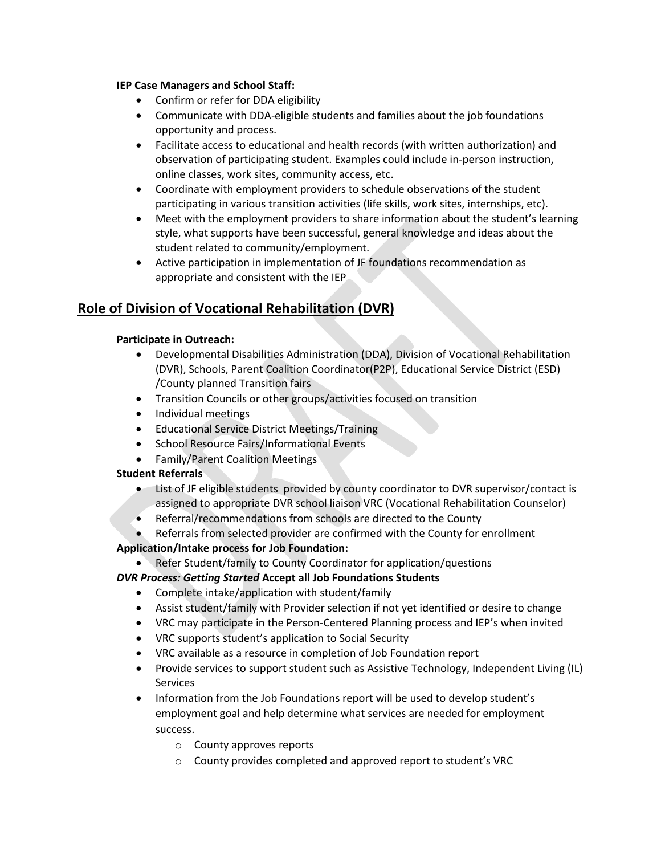#### **IEP Case Managers and School Staff:**

- Confirm or refer for DDA eligibility
- Communicate with DDA-eligible students and families about the job foundations opportunity and process.
- Facilitate access to educational and health records (with written authorization) and observation of participating student. Examples could include in-person instruction, online classes, work sites, community access, etc.
- Coordinate with employment providers to schedule observations of the student participating in various transition activities (life skills, work sites, internships, etc).
- Meet with the employment providers to share information about the student's learning style, what supports have been successful, general knowledge and ideas about the student related to community/employment.
- Active participation in implementation of JF foundations recommendation as appropriate and consistent with the IEP

## **Role of Division of Vocational Rehabilitation (DVR)**

#### **Participate in Outreach:**

- Developmental Disabilities Administration (DDA), Division of Vocational Rehabilitation (DVR), Schools, Parent Coalition Coordinator(P2P), Educational Service District (ESD) /County planned Transition fairs
- Transition Councils or other groups/activities focused on transition
- Individual meetings
- Educational Service District Meetings/Training
- School Resource Fairs/Informational Events
- Family/Parent Coalition Meetings

### **Student Referrals**

- List of JF eligible students provided by county coordinator to DVR supervisor/contact is assigned to appropriate DVR school liaison VRC (Vocational Rehabilitation Counselor)
- Referral/recommendations from schools are directed to the County
- Referrals from selected provider are confirmed with the County for enrollment

### **Application/Intake process for Job Foundation:**

• Refer Student/family to County Coordinator for application/questions

### *DVR Process: Getting Started* **Accept all Job Foundations Students**

- Complete intake/application with student/family
- Assist student/family with Provider selection if not yet identified or desire to change
- VRC may participate in the Person-Centered Planning process and IEP's when invited
- VRC supports student's application to Social Security
- VRC available as a resource in completion of Job Foundation report
- Provide services to support student such as Assistive Technology, Independent Living (IL) Services
- Information from the Job Foundations report will be used to develop student's employment goal and help determine what services are needed for employment success.
	- o County approves reports
	- o County provides completed and approved report to student's VRC